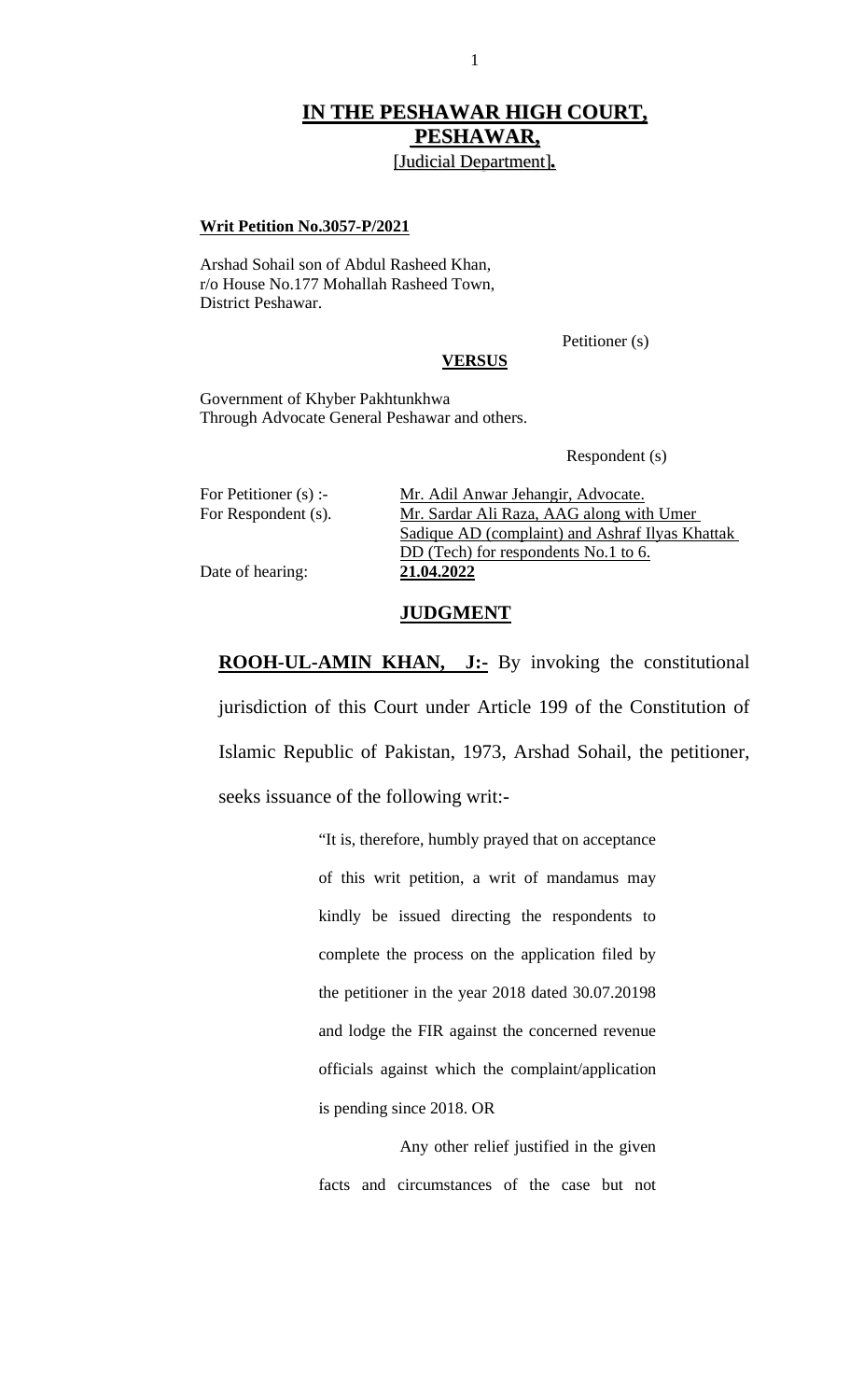## **IN THE PESHAWAR HIGH COURT, PESHAWAR,**

[Judicial Department]*.*

## **Writ Petition No.3057-P/2021**

Arshad Sohail son of Abdul Rasheed Khan, r/o House No.177 Mohallah Rasheed Town, District Peshawar.

Petitioner (s)

## **VERSUS**

Government of Khyber Pakhtunkhwa Through Advocate General Peshawar and others.

Respondent (s)

| For Petitioner (s) :- | Mr. Adil Anwar Jehangir, Advocate.              |  |  |
|-----------------------|-------------------------------------------------|--|--|
| For Respondent (s).   | Mr. Sardar Ali Raza, AAG along with Umer        |  |  |
|                       | Sadique AD (complaint) and Ashraf Ilyas Khattak |  |  |
|                       | DD (Tech) for respondents No.1 to 6.            |  |  |
| Date of hearing:      | 21.04.2022                                      |  |  |

## **JUDGMENT**

**ROOH-UL-AMIN KHAN, J:-** By invoking the constitutional jurisdiction of this Court under Article 199 of the Constitution of Islamic Republic of Pakistan, 1973, Arshad Sohail, the petitioner, seeks issuance of the following writ:-

> "It is, therefore, humbly prayed that on acceptance of this writ petition, a writ of mandamus may kindly be issued directing the respondents to complete the process on the application filed by the petitioner in the year 2018 dated 30.07.20198 and lodge the FIR against the concerned revenue officials against which the complaint/application is pending since 2018. OR

> Any other relief justified in the given facts and circumstances of the case but not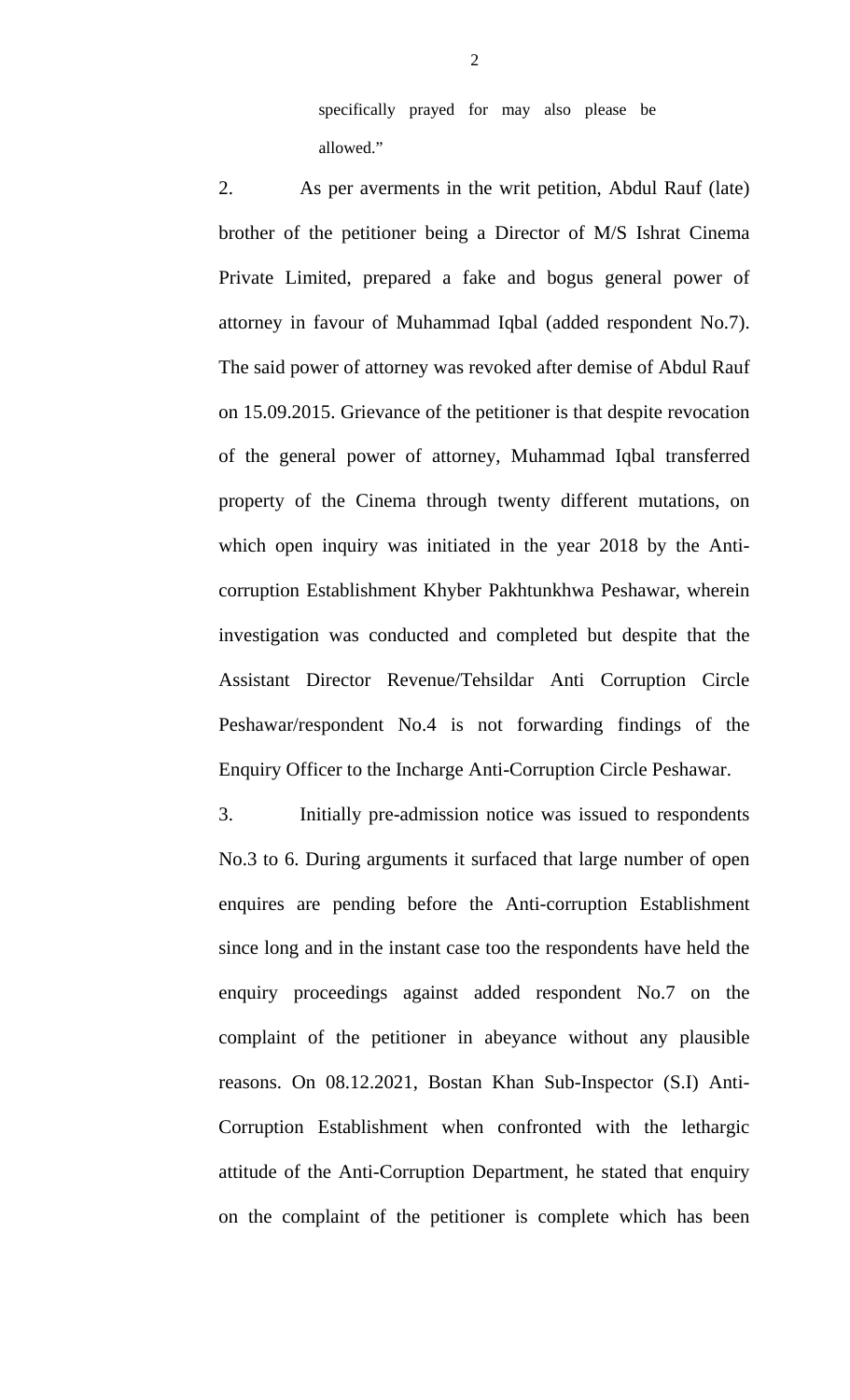specifically prayed for may also please be allowed."

2. As per averments in the writ petition, Abdul Rauf (late) brother of the petitioner being a Director of M/S Ishrat Cinema Private Limited, prepared a fake and bogus general power of attorney in favour of Muhammad Iqbal (added respondent No.7). The said power of attorney was revoked after demise of Abdul Rauf on 15.09.2015. Grievance of the petitioner is that despite revocation of the general power of attorney, Muhammad Iqbal transferred property of the Cinema through twenty different mutations, on which open inquiry was initiated in the year 2018 by the Anticorruption Establishment Khyber Pakhtunkhwa Peshawar, wherein investigation was conducted and completed but despite that the Assistant Director Revenue/Tehsildar Anti Corruption Circle Peshawar/respondent No.4 is not forwarding findings of the Enquiry Officer to the Incharge Anti-Corruption Circle Peshawar.

3. Initially pre-admission notice was issued to respondents No.3 to 6. During arguments it surfaced that large number of open enquires are pending before the Anti-corruption Establishment since long and in the instant case too the respondents have held the enquiry proceedings against added respondent No.7 on the complaint of the petitioner in abeyance without any plausible reasons. On 08.12.2021, Bostan Khan Sub-Inspector (S.I) Anti-Corruption Establishment when confronted with the lethargic attitude of the Anti-Corruption Department, he stated that enquiry on the complaint of the petitioner is complete which has been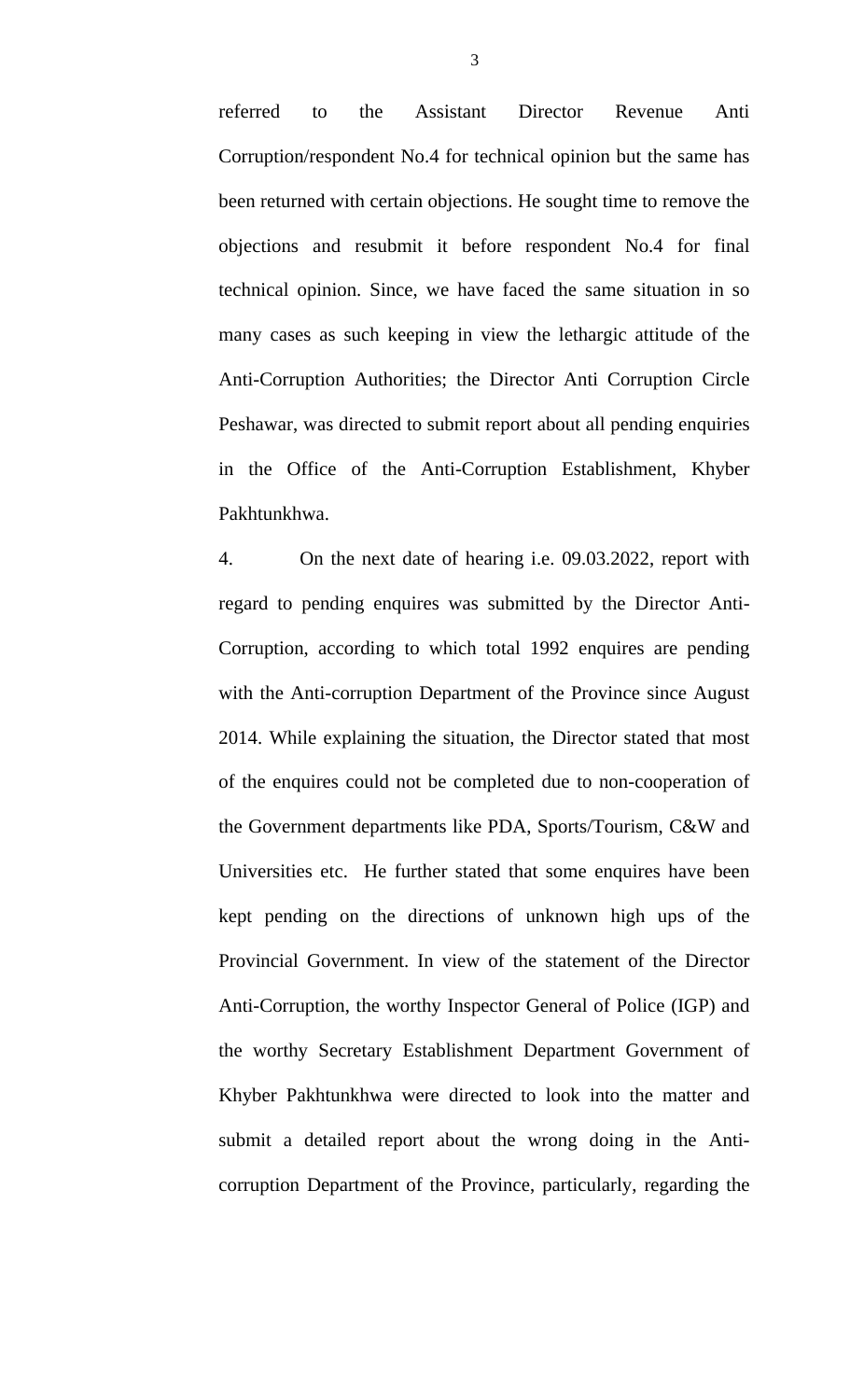referred to the Assistant Director Revenue Anti Corruption/respondent No.4 for technical opinion but the same has been returned with certain objections. He sought time to remove the objections and resubmit it before respondent No.4 for final technical opinion. Since, we have faced the same situation in so many cases as such keeping in view the lethargic attitude of the Anti-Corruption Authorities; the Director Anti Corruption Circle Peshawar, was directed to submit report about all pending enquiries in the Office of the Anti-Corruption Establishment, Khyber Pakhtunkhwa.

4. On the next date of hearing i.e. 09.03.2022, report with regard to pending enquires was submitted by the Director Anti-Corruption, according to which total 1992 enquires are pending with the Anti-corruption Department of the Province since August 2014. While explaining the situation, the Director stated that most of the enquires could not be completed due to non-cooperation of the Government departments like PDA, Sports/Tourism, C&W and Universities etc. He further stated that some enquires have been kept pending on the directions of unknown high ups of the Provincial Government. In view of the statement of the Director Anti-Corruption, the worthy Inspector General of Police (IGP) and the worthy Secretary Establishment Department Government of Khyber Pakhtunkhwa were directed to look into the matter and submit a detailed report about the wrong doing in the Anticorruption Department of the Province, particularly, regarding the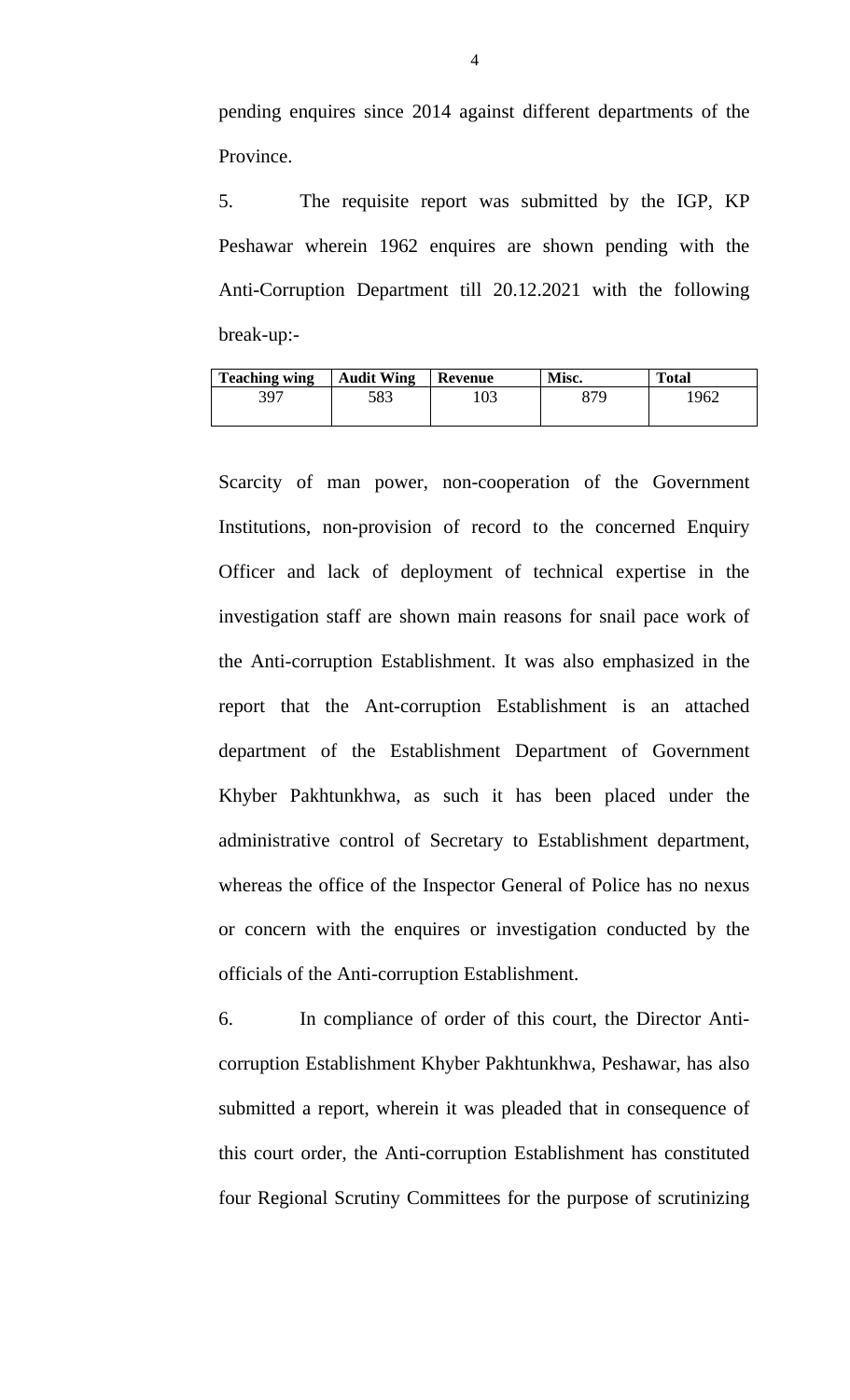pending enquires since 2014 against different departments of the Province.

5. The requisite report was submitted by the IGP, KP Peshawar wherein 1962 enquires are shown pending with the Anti-Corruption Department till 20.12.2021 with the following break-up:-

| <b>Teaching wing</b> | <b>Audit Wing</b> | Revenue | Misc. | <b>Total</b> |
|----------------------|-------------------|---------|-------|--------------|
| 397                  | 583               | 103     | 870   | 1962         |
|                      |                   |         |       |              |

Scarcity of man power, non-cooperation of the Government Institutions, non-provision of record to the concerned Enquiry Officer and lack of deployment of technical expertise in the investigation staff are shown main reasons for snail pace work of the Anti-corruption Establishment. It was also emphasized in the report that the Ant-corruption Establishment is an attached department of the Establishment Department of Government Khyber Pakhtunkhwa, as such it has been placed under the administrative control of Secretary to Establishment department, whereas the office of the Inspector General of Police has no nexus or concern with the enquires or investigation conducted by the officials of the Anti-corruption Establishment.

6. In compliance of order of this court, the Director Anticorruption Establishment Khyber Pakhtunkhwa, Peshawar, has also submitted a report, wherein it was pleaded that in consequence of this court order, the Anti-corruption Establishment has constituted four Regional Scrutiny Committees for the purpose of scrutinizing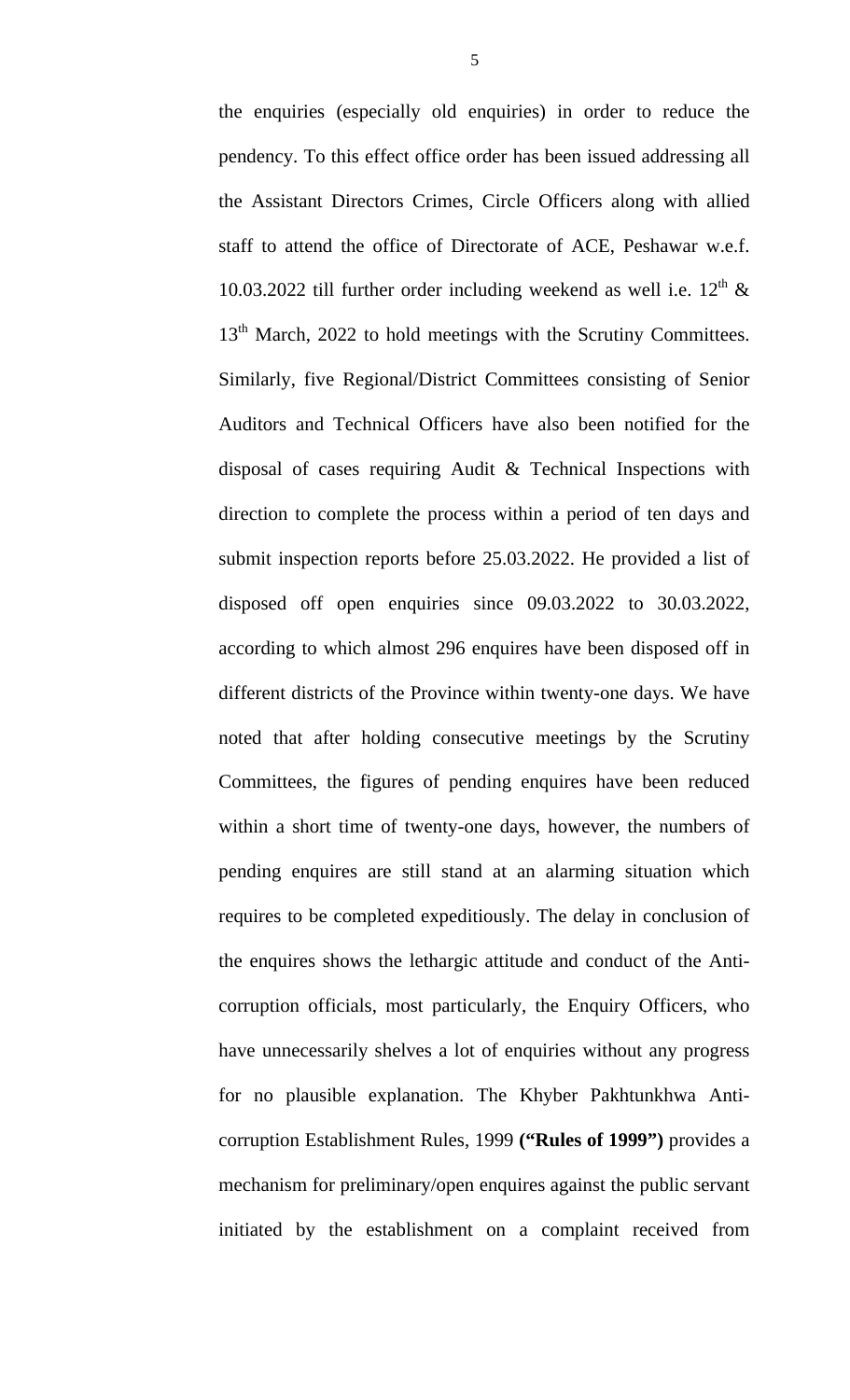the enquiries (especially old enquiries) in order to reduce the pendency. To this effect office order has been issued addressing all the Assistant Directors Crimes, Circle Officers along with allied staff to attend the office of Directorate of ACE, Peshawar w.e.f. 10.03.2022 till further order including weekend as well i.e.  $12^{th}$  & 13<sup>th</sup> March, 2022 to hold meetings with the Scrutiny Committees. Similarly, five Regional/District Committees consisting of Senior Auditors and Technical Officers have also been notified for the disposal of cases requiring Audit & Technical Inspections with direction to complete the process within a period of ten days and submit inspection reports before 25.03.2022. He provided a list of disposed off open enquiries since 09.03.2022 to 30.03.2022, according to which almost 296 enquires have been disposed off in different districts of the Province within twenty-one days. We have noted that after holding consecutive meetings by the Scrutiny Committees, the figures of pending enquires have been reduced within a short time of twenty-one days, however, the numbers of pending enquires are still stand at an alarming situation which requires to be completed expeditiously. The delay in conclusion of the enquires shows the lethargic attitude and conduct of the Anticorruption officials, most particularly, the Enquiry Officers, who have unnecessarily shelves a lot of enquiries without any progress for no plausible explanation. The Khyber Pakhtunkhwa Anticorruption Establishment Rules, 1999 **("Rules of 1999")** provides a mechanism for preliminary/open enquires against the public servant initiated by the establishment on a complaint received from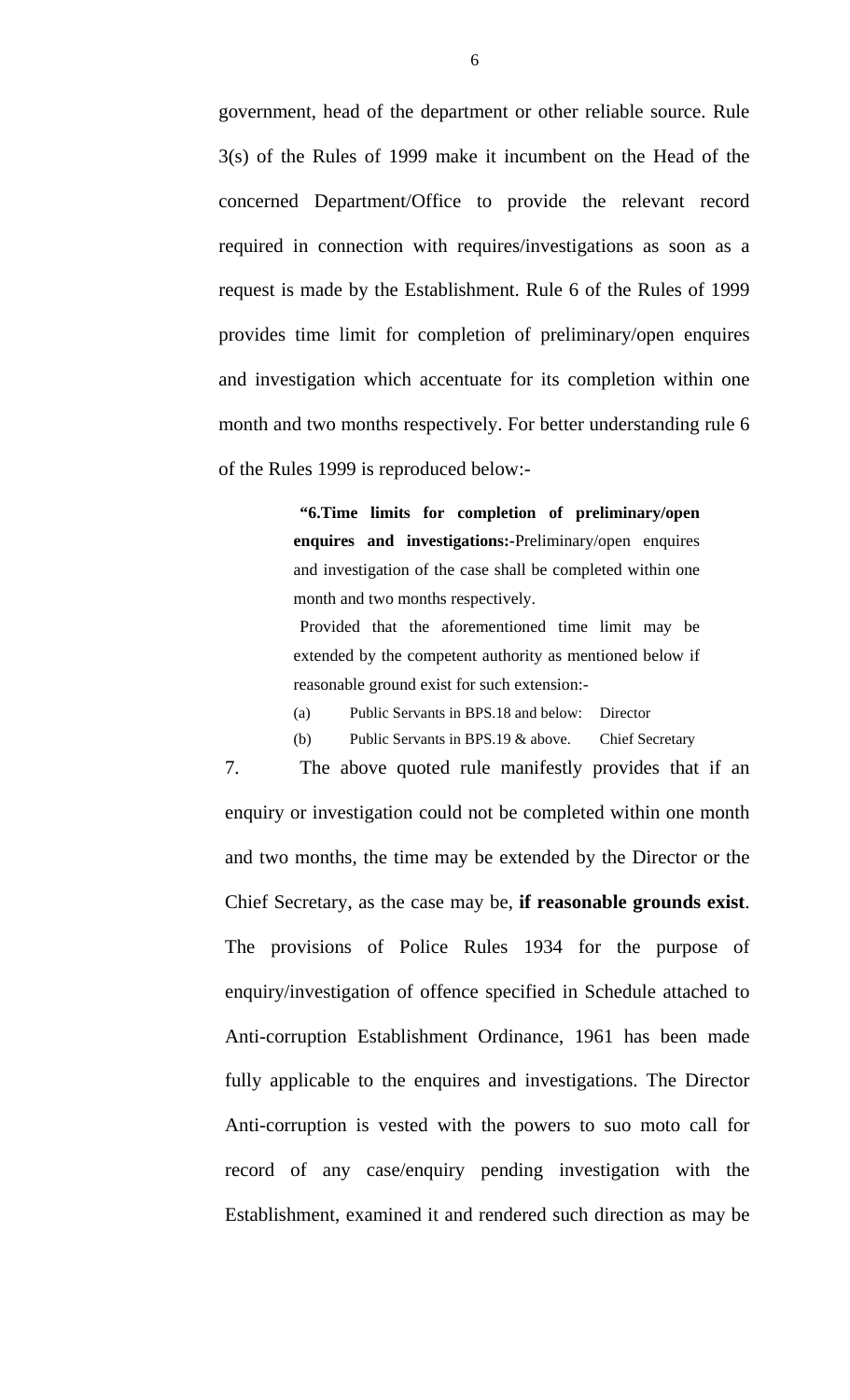government, head of the department or other reliable source. Rule 3(s) of the Rules of 1999 make it incumbent on the Head of the concerned Department/Office to provide the relevant record required in connection with requires/investigations as soon as a request is made by the Establishment. Rule 6 of the Rules of 1999 provides time limit for completion of preliminary/open enquires and investigation which accentuate for its completion within one month and two months respectively. For better understanding rule 6 of the Rules 1999 is reproduced below:-

> **"6.Time limits for completion of preliminary/open enquires and investigations:-**Preliminary/open enquires and investigation of the case shall be completed within one month and two months respectively.

> Provided that the aforementioned time limit may be extended by the competent authority as mentioned below if reasonable ground exist for such extension:-

(a) Public Servants in BPS.18 and below: Director

(b) Public Servants in BPS.19 & above. Chief Secretary

7. The above quoted rule manifestly provides that if an enquiry or investigation could not be completed within one month and two months, the time may be extended by the Director or the Chief Secretary, as the case may be, **if reasonable grounds exist**. The provisions of Police Rules 1934 for the purpose of enquiry/investigation of offence specified in Schedule attached to Anti-corruption Establishment Ordinance, 1961 has been made fully applicable to the enquires and investigations. The Director Anti-corruption is vested with the powers to suo moto call for record of any case/enquiry pending investigation with the Establishment, examined it and rendered such direction as may be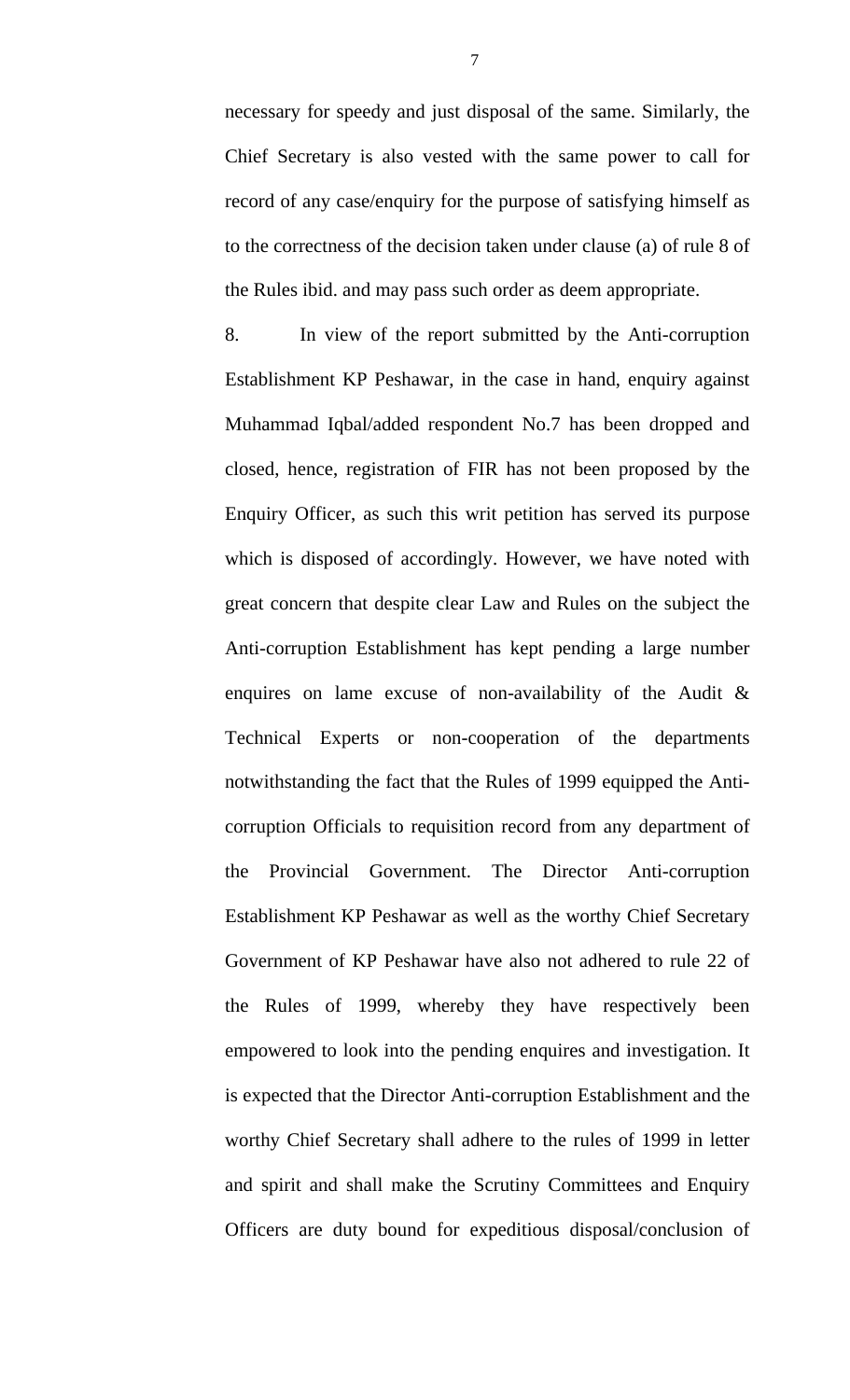necessary for speedy and just disposal of the same. Similarly, the Chief Secretary is also vested with the same power to call for record of any case/enquiry for the purpose of satisfying himself as to the correctness of the decision taken under clause (a) of rule 8 of the Rules ibid. and may pass such order as deem appropriate.

8. In view of the report submitted by the Anti-corruption Establishment KP Peshawar, in the case in hand, enquiry against Muhammad Iqbal/added respondent No.7 has been dropped and closed, hence, registration of FIR has not been proposed by the Enquiry Officer, as such this writ petition has served its purpose which is disposed of accordingly. However, we have noted with great concern that despite clear Law and Rules on the subject the Anti-corruption Establishment has kept pending a large number enquires on lame excuse of non-availability of the Audit & Technical Experts or non-cooperation of the departments notwithstanding the fact that the Rules of 1999 equipped the Anticorruption Officials to requisition record from any department of the Provincial Government. The Director Anti-corruption Establishment KP Peshawar as well as the worthy Chief Secretary Government of KP Peshawar have also not adhered to rule 22 of the Rules of 1999, whereby they have respectively been empowered to look into the pending enquires and investigation. It is expected that the Director Anti-corruption Establishment and the worthy Chief Secretary shall adhere to the rules of 1999 in letter and spirit and shall make the Scrutiny Committees and Enquiry Officers are duty bound for expeditious disposal/conclusion of